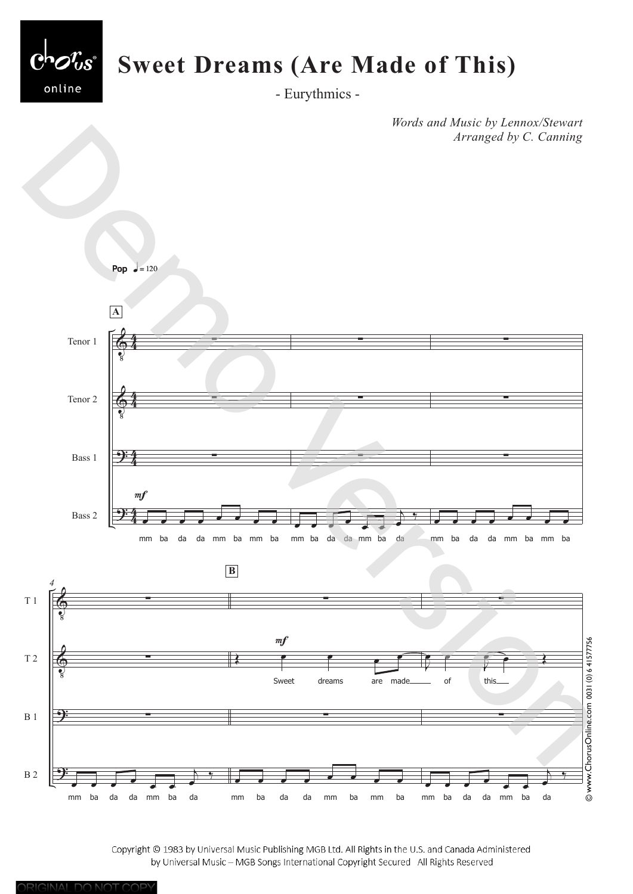

*Words and Music by Lennox/Stewart Arranged by C. Canning*



Copyright © 1983 by Universal Music Publishing MGB Ltd. All Rights in the U.S. and Canada Administered by Universal Music - MGB Songs International Copyright Secured All Rights Reserved

ORIGINAL DO NOT COPY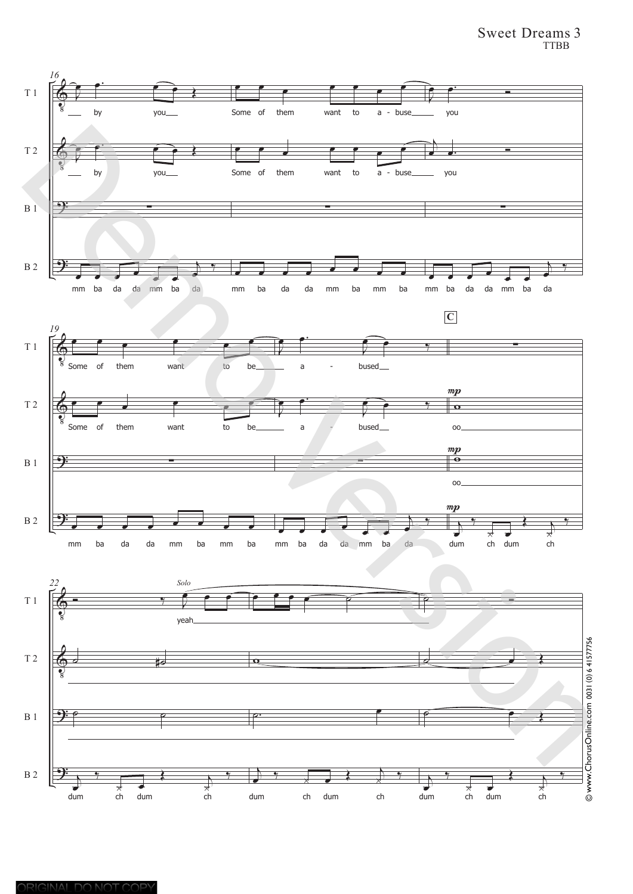## Sweet Dreams 3 TTBB

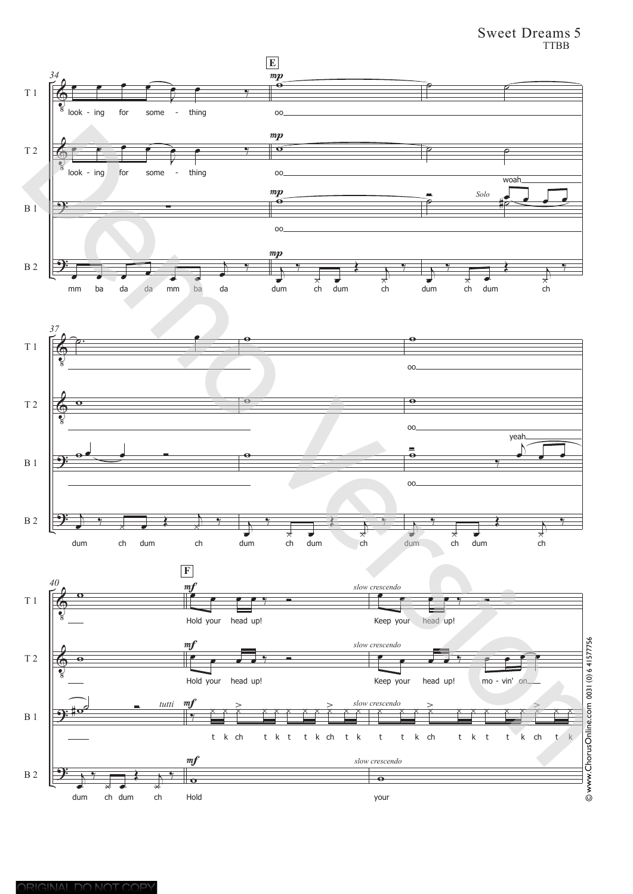## Sweet Dreams 5 TTBB

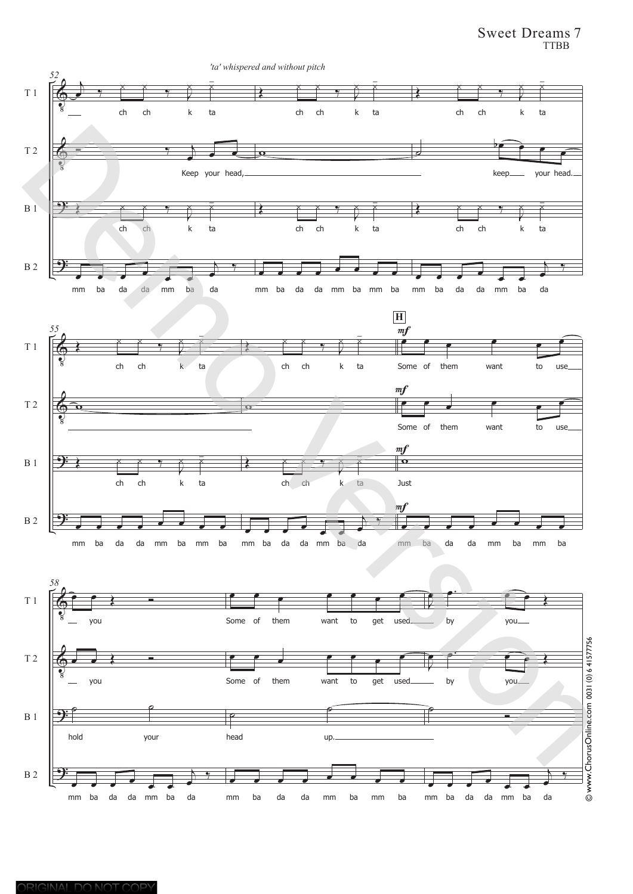Sweet Dreams 7 TTBB

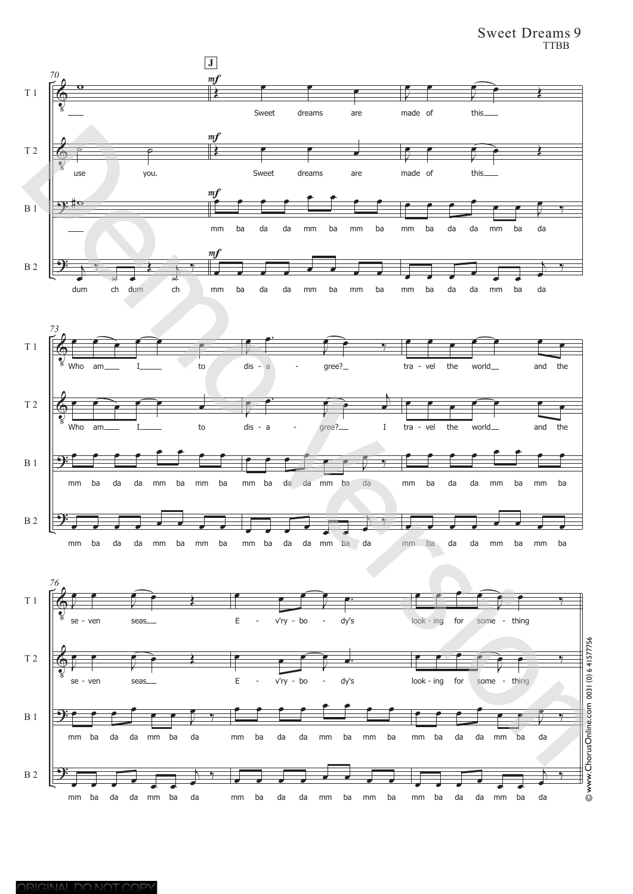Sweet Dreams 9 TTBB

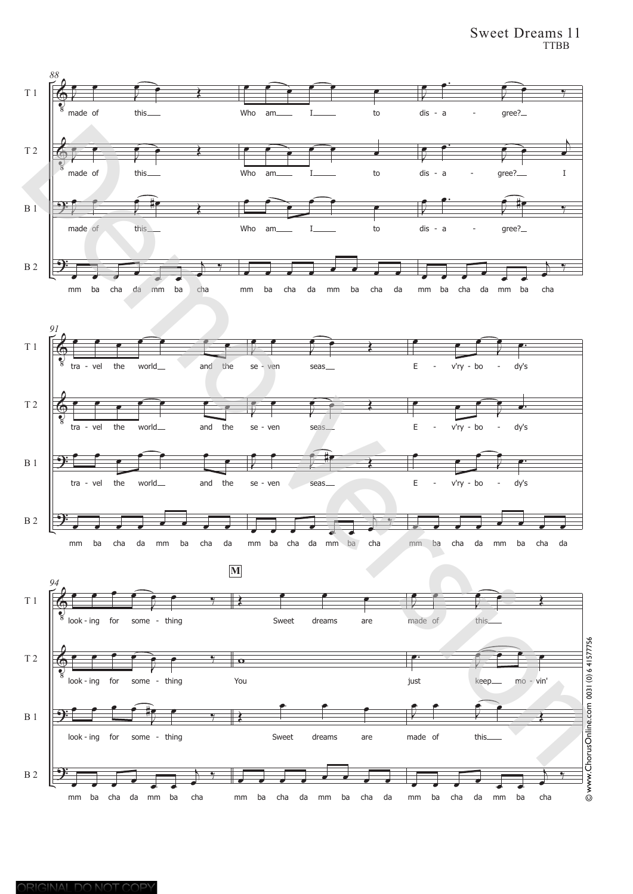## Sweet Dreams 11 TTBB